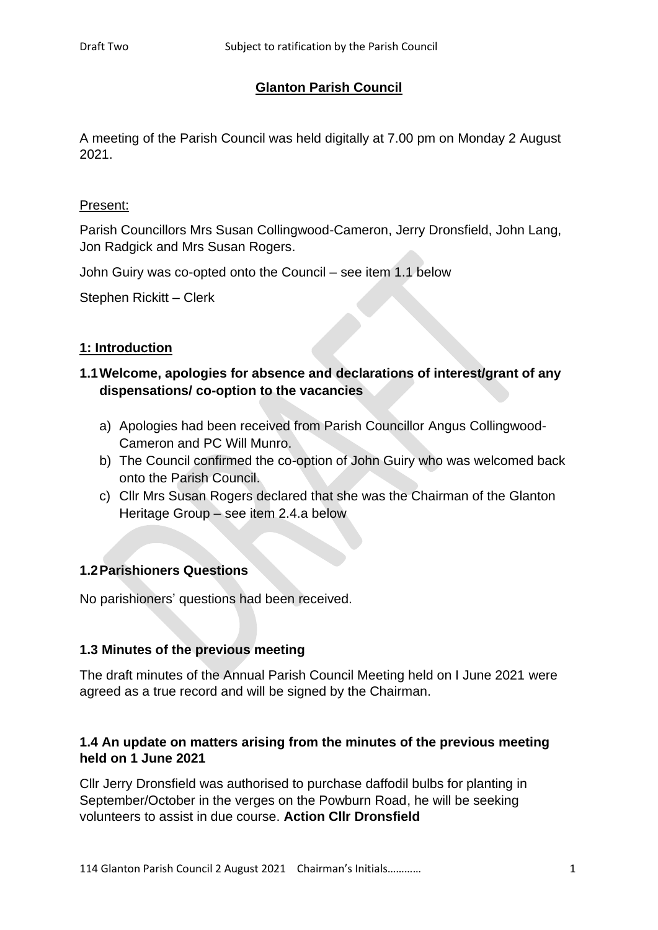### **Glanton Parish Council**

A meeting of the Parish Council was held digitally at 7.00 pm on Monday 2 August 2021.

#### Present:

Parish Councillors Mrs Susan Collingwood-Cameron, Jerry Dronsfield, John Lang, Jon Radgick and Mrs Susan Rogers.

John Guiry was co-opted onto the Council – see item 1.1 below

Stephen Rickitt – Clerk

### **1: Introduction**

## **1.1Welcome, apologies for absence and declarations of interest/grant of any dispensations/ co-option to the vacancies**

- a) Apologies had been received from Parish Councillor Angus Collingwood-Cameron and PC Will Munro.
- b) The Council confirmed the co-option of John Guiry who was welcomed back onto the Parish Council.
- c) Cllr Mrs Susan Rogers declared that she was the Chairman of the Glanton Heritage Group – see item 2.4.a below

### **1.2Parishioners Questions**

No parishioners' questions had been received.

#### **1.3 Minutes of the previous meeting**

The draft minutes of the Annual Parish Council Meeting held on I June 2021 were agreed as a true record and will be signed by the Chairman.

### **1.4 An update on matters arising from the minutes of the previous meeting held on 1 June 2021**

Cllr Jerry Dronsfield was authorised to purchase daffodil bulbs for planting in September/October in the verges on the Powburn Road, he will be seeking volunteers to assist in due course. **Action Cllr Dronsfield**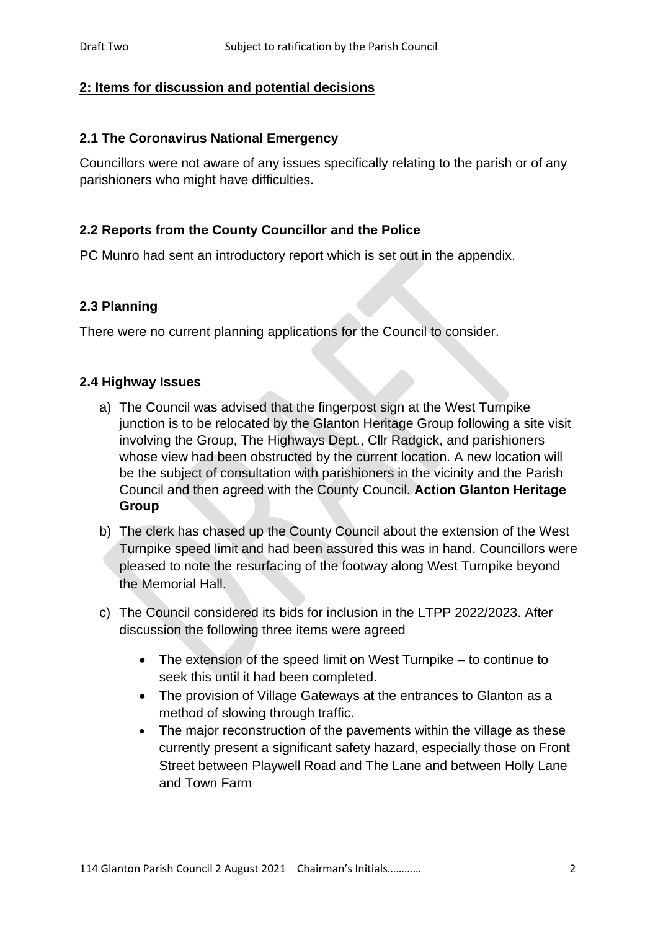### **2: Items for discussion and potential decisions**

#### **2.1 The Coronavirus National Emergency**

Councillors were not aware of any issues specifically relating to the parish or of any parishioners who might have difficulties.

#### **2.2 Reports from the County Councillor and the Police**

PC Munro had sent an introductory report which is set out in the appendix.

#### **2.3 Planning**

There were no current planning applications for the Council to consider.

#### **2.4 Highway Issues**

- a) The Council was advised that the fingerpost sign at the West Turnpike junction is to be relocated by the Glanton Heritage Group following a site visit involving the Group, The Highways Dept., Cllr Radgick, and parishioners whose view had been obstructed by the current location. A new location will be the subject of consultation with parishioners in the vicinity and the Parish Council and then agreed with the County Council. **Action Glanton Heritage Group**
- b) The clerk has chased up the County Council about the extension of the West Turnpike speed limit and had been assured this was in hand. Councillors were pleased to note the resurfacing of the footway along West Turnpike beyond the Memorial Hall.
- c) The Council considered its bids for inclusion in the LTPP 2022/2023. After discussion the following three items were agreed
	- The extension of the speed limit on West Turnpike to continue to seek this until it had been completed.
	- The provision of Village Gateways at the entrances to Glanton as a method of slowing through traffic.
	- The major reconstruction of the pavements within the village as these currently present a significant safety hazard, especially those on Front Street between Playwell Road and The Lane and between Holly Lane and Town Farm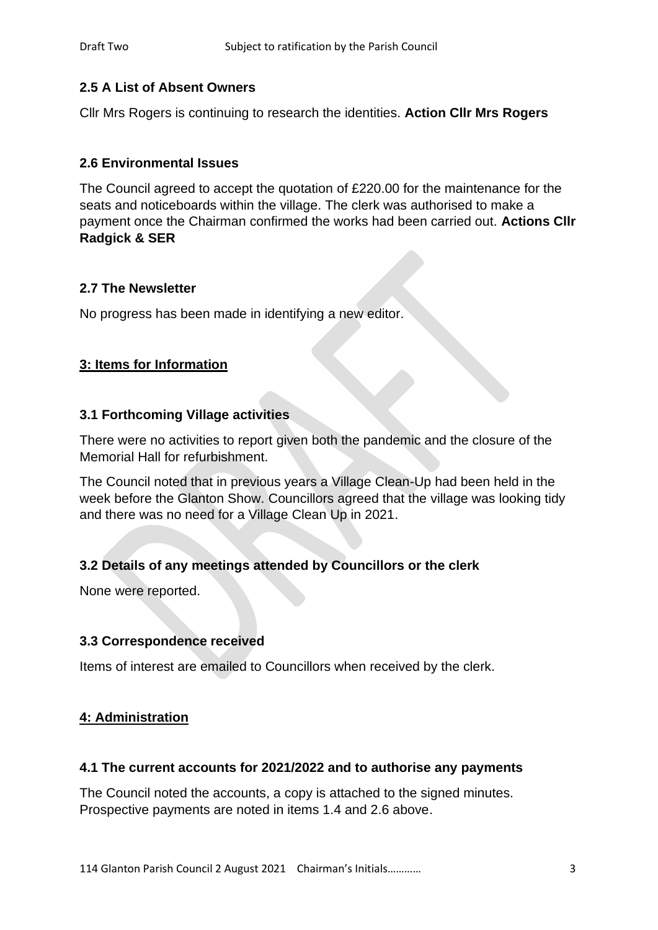## **2.5 A List of Absent Owners**

Cllr Mrs Rogers is continuing to research the identities. **Action Cllr Mrs Rogers**

## **2.6 Environmental Issues**

The Council agreed to accept the quotation of £220.00 for the maintenance for the seats and noticeboards within the village. The clerk was authorised to make a payment once the Chairman confirmed the works had been carried out. **Actions Cllr Radgick & SER**

### **2.7 The Newsletter**

No progress has been made in identifying a new editor.

### **3: Items for Information**

### **3.1 Forthcoming Village activities**

There were no activities to report given both the pandemic and the closure of the Memorial Hall for refurbishment.

The Council noted that in previous years a Village Clean-Up had been held in the week before the Glanton Show. Councillors agreed that the village was looking tidy and there was no need for a Village Clean Up in 2021.

## **3.2 Details of any meetings attended by Councillors or the clerk**

None were reported.

### **3.3 Correspondence received**

Items of interest are emailed to Councillors when received by the clerk.

### **4: Administration**

### **4.1 The current accounts for 2021/2022 and to authorise any payments**

The Council noted the accounts, a copy is attached to the signed minutes. Prospective payments are noted in items 1.4 and 2.6 above.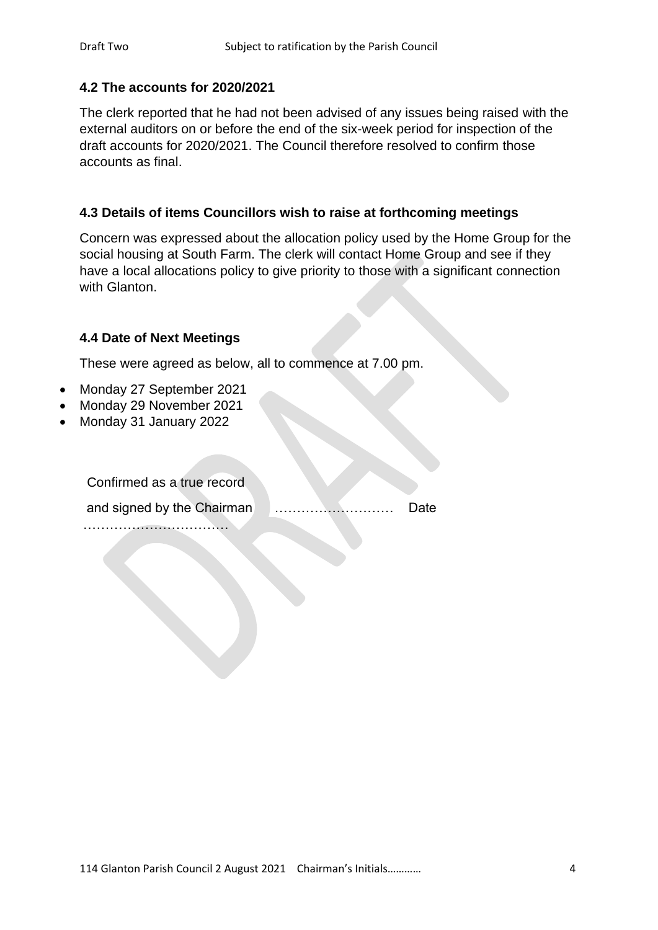### **4.2 The accounts for 2020/2021**

The clerk reported that he had not been advised of any issues being raised with the external auditors on or before the end of the six-week period for inspection of the draft accounts for 2020/2021. The Council therefore resolved to confirm those accounts as final.

#### **4.3 Details of items Councillors wish to raise at forthcoming meetings**

Concern was expressed about the allocation policy used by the Home Group for the social housing at South Farm. The clerk will contact Home Group and see if they have a local allocations policy to give priority to those with a significant connection with Glanton.

### **4.4 Date of Next Meetings**

These were agreed as below, all to commence at 7.00 pm.

- Monday 27 September 2021
- Monday 29 November 2021
- Monday 31 January 2022

Confirmed as a true record

and signed by the Chairman **Election** 2. 2. 2. 2. 2. 2. 2. 2. 2. Date

……………………………